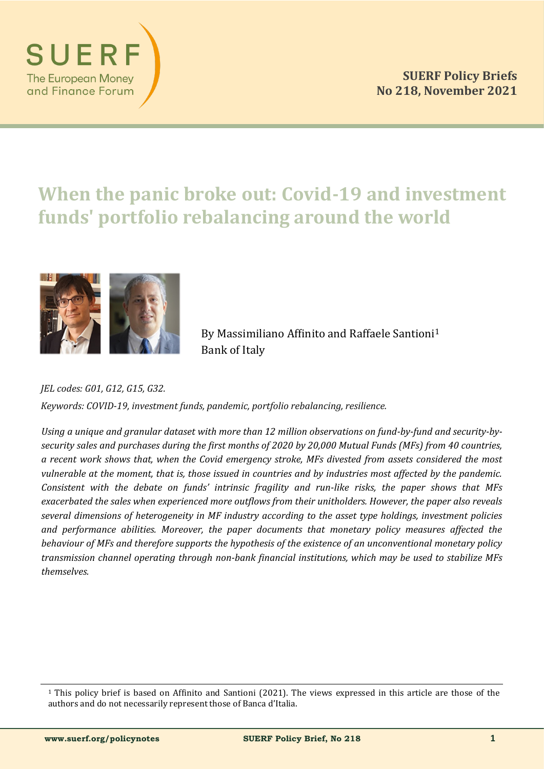

# **When the panic broke out: Covid-19 and investment funds' portfolio rebalancing around the world**



By Massimiliano Affinito and Raffaele Santioni<sup>1</sup> Bank of Italy

*JEL codes: G01, G12, G15, G32.* 

*Keywords: COVID-19, investment funds, pandemic, portfolio rebalancing, resilience.*

Using a unique and granular dataset with more than 12 million observations on fund-by-fund and security-by*security sales and purchases during the first months of 2020 by 20,000 Mutual Funds (MFs) from 40 countries, a recent work shows that, when the Covid emergency stroke, MFs divested from assets considered the most vulnerable at the moment, that is, those issued in countries and by industries most affected by the pandemic. Consistent with the debate on funds' intrinsic fragility and run-like risks, the paper shows that MFs exacerbated the sales when experienced more outflows from their unitholders. However, the paper also reveals several dimensions of heterogeneity in MF industry according to the asset type holdings, investment policies and performance abilities. Moreover, the paper documents that monetary policy measures affected the behaviour of MFs and therefore supports the hypothesis of the existence of an unconventional monetary policy transmission channel operating through non-bank financial institutions, which may be used to stabilize MFs themselves.*

<sup>1</sup> This policy brief is based on Affinito and Santioni (2021). The views expressed in this article are those of the authors and do not necessarily represent those of Banca d'Italia.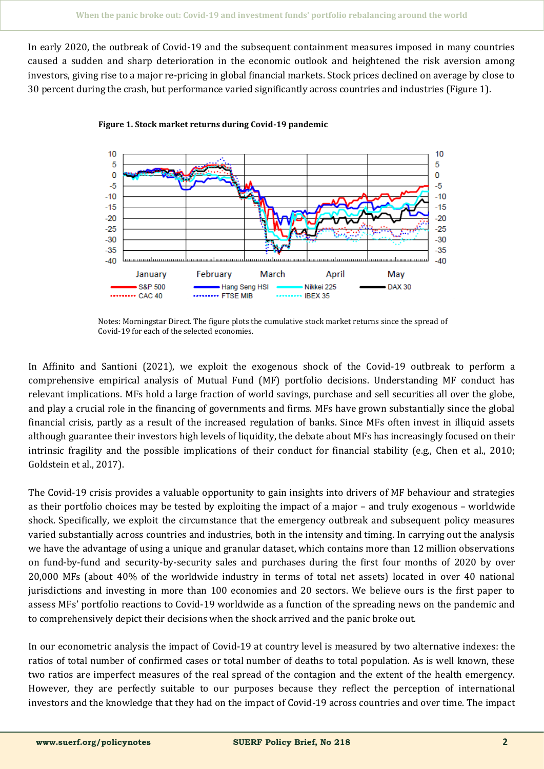In early 2020, the outbreak of Covid-19 and the subsequent containment measures imposed in many countries caused a sudden and sharp deterioration in the economic outlook and heightened the risk aversion among investors, giving rise to a major re-pricing in global financial markets. Stock prices declined on average by close to 30 percent during the crash, but performance varied significantly across countries and industries (Figure 1).



**Figure 1. Stock market returns during Covid-19 pandemic**

Notes: Morningstar Direct. The figure plots the cumulative stock market returns since the spread of Covid-19 for each of the selected economies.

In Affinito and Santioni (2021), we exploit the exogenous shock of the Covid-19 outbreak to perform a comprehensive empirical analysis of Mutual Fund (MF) portfolio decisions. Understanding MF conduct has relevant implications. MFs hold a large fraction of world savings, purchase and sell securities all over the globe, and play a crucial role in the financing of governments and firms. MFs have grown substantially since the global financial crisis, partly as a result of the increased regulation of banks. Since MFs often invest in illiquid assets although guarantee their investors high levels of liquidity, the debate about MFs has increasingly focused on their intrinsic fragility and the possible implications of their conduct for financial stability (e.g., Chen et al., 2010; Goldstein et al., 2017).

The Covid-19 crisis provides a valuable opportunity to gain insights into drivers of MF behaviour and strategies as their portfolio choices may be tested by exploiting the impact of a major – and truly exogenous – worldwide shock. Specifically, we exploit the circumstance that the emergency outbreak and subsequent policy measures varied substantially across countries and industries, both in the intensity and timing. In carrying out the analysis we have the advantage of using a unique and granular dataset, which contains more than 12 million observations on fund-by-fund and security-by-security sales and purchases during the first four months of 2020 by over 20,000 MFs (about 40% of the worldwide industry in terms of total net assets) located in over 40 national jurisdictions and investing in more than 100 economies and 20 sectors. We believe ours is the first paper to assess MFs' portfolio reactions to Covid-19 worldwide as a function of the spreading news on the pandemic and to comprehensively depict their decisions when the shock arrived and the panic broke out.

In our econometric analysis the impact of Covid-19 at country level is measured by two alternative indexes: the ratios of total number of confirmed cases or total number of deaths to total population. As is well known, these two ratios are imperfect measures of the real spread of the contagion and the extent of the health emergency. However, they are perfectly suitable to our purposes because they reflect the perception of international investors and the knowledge that they had on the impact of Covid-19 across countries and over time. The impact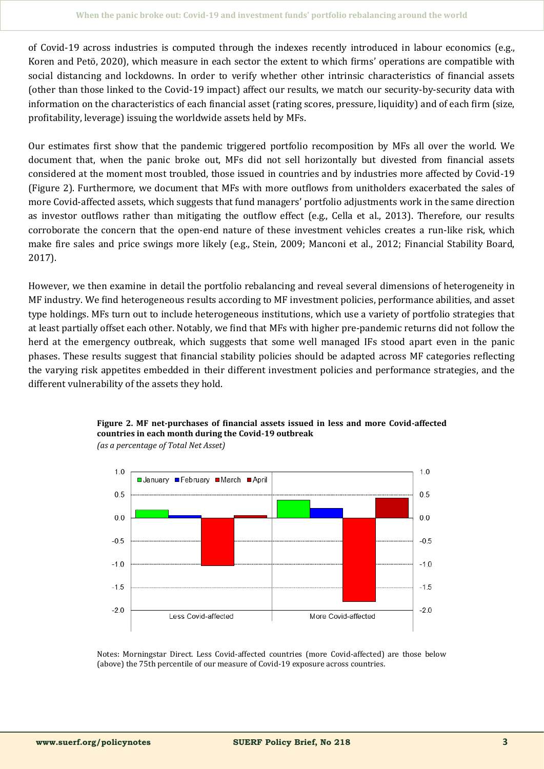of Covid-19 across industries is computed through the indexes recently introduced in labour economics (e.g., Koren and Petö, 2020), which measure in each sector the extent to which firms' operations are compatible with social distancing and lockdowns. In order to verify whether other intrinsic characteristics of financial assets (other than those linked to the Covid-19 impact) affect our results, we match our security-by-security data with information on the characteristics of each financial asset (rating scores, pressure, liquidity) and of each firm (size, profitability, leverage) issuing the worldwide assets held by MFs.

Our estimates first show that the pandemic triggered portfolio recomposition by MFs all over the world. We document that, when the panic broke out, MFs did not sell horizontally but divested from financial assets considered at the moment most troubled, those issued in countries and by industries more affected by Covid-19 (Figure 2). Furthermore, we document that MFs with more outflows from unitholders exacerbated the sales of more Covid-affected assets, which suggests that fund managers' portfolio adjustments work in the same direction as investor outflows rather than mitigating the outflow effect (e.g., Cella et al., 2013). Therefore, our results corroborate the concern that the open-end nature of these investment vehicles creates a run-like risk, which make fire sales and price swings more likely (e.g., Stein, 2009; Manconi et al., 2012; Financial Stability Board, 2017).

However, we then examine in detail the portfolio rebalancing and reveal several dimensions of heterogeneity in MF industry. We find heterogeneous results according to MF investment policies, performance abilities, and asset type holdings. MFs turn out to include heterogeneous institutions, which use a variety of portfolio strategies that at least partially offset each other. Notably, we find that MFs with higher pre-pandemic returns did not follow the herd at the emergency outbreak, which suggests that some well managed IFs stood apart even in the panic phases. These results suggest that financial stability policies should be adapted across MF categories reflecting the varying risk appetites embedded in their different investment policies and performance strategies, and the different vulnerability of the assets they hold.



#### **Figure 2. MF net-purchases of financial assets issued in less and more Covid-affected countries in each month during the Covid-19 outbreak**  *(as a percentage of Total Net Asset)*

Notes: Morningstar Direct. Less Covid-affected countries (more Covid-affected) are those below (above) the 75th percentile of our measure of Covid-19 exposure across countries.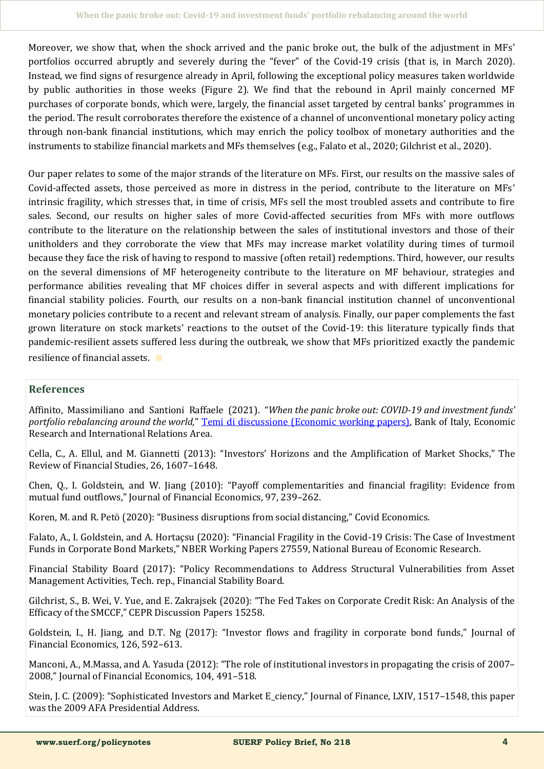Moreover, we show that, when the shock arrived and the panic broke out, the bulk of the adjustment in MFs' portfolios occurred abruptly and severely during the "fever" of the Covid-19 crisis (that is, in March 2020). Instead, we find signs of resurgence already in April, following the exceptional policy measures taken worldwide by public authorities in those weeks (Figure 2). We find that the rebound in April mainly concerned MF purchases of corporate bonds, which were, largely, the financial asset targeted by central banks' programmes in the period. The result corroborates therefore the existence of a channel of unconventional monetary policy acting through non-bank financial institutions, which may enrich the policy toolbox of monetary authorities and the instruments to stabilize financial markets and MFs themselves (e.g., Falato et al., 2020; Gilchrist et al., 2020).

Our paper relates to some of the major strands of the literature on MFs. First, our results on the massive sales of Covid-affected assets, those perceived as more in distress in the period, contribute to the literature on MFs' intrinsic fragility, which stresses that, in time of crisis, MFs sell the most troubled assets and contribute to fire sales. Second, our results on higher sales of more Covid-affected securities from MFs with more outflows contribute to the literature on the relationship between the sales of institutional investors and those of their unitholders and they corroborate the view that MFs may increase market volatility during times of turmoil because they face the risk of having to respond to massive (often retail) redemptions. Third, however, our results on the several dimensions of MF heterogeneity contribute to the literature on MF behaviour, strategies and performance abilities revealing that MF choices differ in several aspects and with different implications for financial stability policies. Fourth, our results on a non-bank financial institution channel of unconventional monetary policies contribute to a recent and relevant stream of analysis. Finally, our paper complements the fast grown literature on stock markets' reactions to the outset of the Covid-19: this literature typically finds that pandemic-resilient assets suffered less during the outbreak, we show that MFs prioritized exactly the pandemic resilience of financial assets. ∎

## **References**

Affinito, Massimiliano and Santioni Raffaele (2021). "*When the panic broke out: COVID-19 and investment funds' portfolio rebalancing around the world,*" [Temi di discussione \(Economic working papers\),](https://www.bancaditalia.it/pubblicazioni/temi-discussione/2021/2021-1342/en_tema_1342.pdf?language_id=1) Bank of Italy, Economic Research and International Relations Area.

Cella, C., A. Ellul, and M. Giannetti (2013): "Investors' Horizons and the Amplification of Market Shocks," The Review of Financial Studies, 26, 1607–1648.

Chen, Q., I. Goldstein, and W. Jiang (2010): "Payoff complementarities and financial fragility: Evidence from mutual fund outflows," Journal of Financial Economics, 97, 239–262.

Koren, M. and R. Petö (2020): "Business disruptions from social distancing," Covid Economics.

Falato, A., I. Goldstein, and A. Hortaçsu (2020): "Financial Fragility in the Covid-19 Crisis: The Case of Investment Funds in Corporate Bond Markets," NBER Working Papers 27559, National Bureau of Economic Research.

Financial Stability Board (2017): "Policy Recommendations to Address Structural Vulnerabilities from Asset Management Activities, Tech. rep., Financial Stability Board.

Gilchrist, S., B. Wei, V. Yue, and E. Zakrajsek (2020): "The Fed Takes on Corporate Credit Risk: An Analysis of the Efficacy of the SMCCF," CEPR Discussion Papers 15258.

Goldstein, I., H. Jiang, and D.T. Ng (2017): "Investor flows and fragility in corporate bond funds," Journal of Financial Economics, 126, 592–613.

Manconi, A., M.Massa, and A. Yasuda (2012): "The role of institutional investors in propagating the crisis of 2007– 2008," Journal of Financial Economics, 104, 491–518.

Stein, J. C. (2009): "Sophisticated Investors and Market E\_ciency," Journal of Finance, LXIV, 1517–1548, this paper was the 2009 AFA Presidential Address.